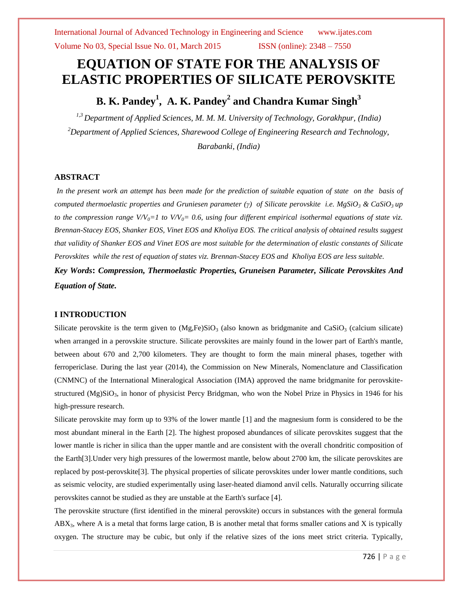# **EQUATION OF STATE FOR THE ANALYSIS OF ELASTIC PROPERTIES OF SILICATE PEROVSKITE**

# **B. K. Pandey<sup>1</sup> , A. K. Pandey<sup>2</sup> and Chandra Kumar Singh<sup>3</sup>**

*1,3 Department of Applied Sciences, M. M. M. University of Technology, Gorakhpur, (India) <sup>2</sup>Department of Applied Sciences, Sharewood College of Engineering Research and Technology, Barabanki, (India)*

# **ABSTRACT**

*In the present work an attempt has been made for the prediction of suitable equation of state on the basis of computed thermoelastic properties and Gruniesen parameter (γ) of Silicate perovskite i.e. MgSiO<sup>3</sup> & CaSiO3 up to the compression range*  $VVV_0=1$  to  $VV_0=0.6$ , *using four different empirical isothermal equations of state viz. Brennan-Stacey EOS, Shanker EOS, Vinet EOS and Kholiya EOS. The critical analysis of obtained results suggest that validity of Shanker EOS and Vinet EOS are most suitable for the determination of elastic constants of Silicate Perovskites while the rest of equation of states viz. Brennan-Stacey EOS and Kholiya EOS are less suitable.* 

*Key Words***:** *Compression, Thermoelastic Properties, Gruneisen Parameter, Silicate Perovskites And Equation of State.*

# **I INTRODUCTION**

Silicate perovskite is the term given to  $(Mg,Fe)SiO<sub>3</sub>$  (also known as bridgmanite and CaSiO<sub>3</sub> [\(calcium silicate\)](http://en.wikipedia.org/wiki/Calcium_silicate) when arranged in a [perovskite structure.](http://en.wikipedia.org/wiki/Perovskite_%28structure%29) Silicate perovskites are mainly found in the lower part of [Earth's mantle,](http://en.wikipedia.org/wiki/Mantle_%28geology%29)  between about 670 and 2,700 kilometers. They are thought to form the main mineral phases, together with [ferropericlase.](http://en.wikipedia.org/wiki/Ferropericlase) During the last year (2014), the Commission on New Minerals, Nomenclature and Classification (CNMNC) of the [International Mineralogical Association](http://en.wikipedia.org/wiki/International_Mineralogical_Association) (IMA) approved the name bridgmanite for perovskitestructured (Mg) $SiO<sub>3</sub>$ , in honor of [physicist](http://en.wikipedia.org/wiki/List_of_physicists) [Percy Bridgman,](http://en.wikipedia.org/wiki/Percy_Williams_Bridgman) who won the [Nobel Prize in Physics](http://en.wikipedia.org/wiki/Nobel_Prize_in_Physics) in 1946 for his high-pressure research.

Silicate perovskite may form up to 93% of the lower mantle [1] and the magnesium form is considered to be the most abundant [mineral](http://en.wikipedia.org/wiki/Mineral) in the Earth [2]. The highest proposed abundances of silicate perovskites suggest that the lower mantle is richer in silica than the upper mantle and are consistent with the overall [chondritic](http://en.wikipedia.org/wiki/Chondrite) composition of the Earth[3].Under very high pressures of the lowermost mantle, below about 2700 km, the silicate perovskites are replaced by [post-perovskite\[](http://en.wikipedia.org/wiki/Post-perovskite)3]. The physical properties of silicate perovskites under lower mantle conditions, such as seismic velocity, are studied experimentally using [laser-](http://en.wikipedia.org/wiki/Laser)heated [diamond anvil cells.](http://en.wikipedia.org/wiki/Diamond_anvil_cell) Naturally occurring silicate perovskites cannot be studied as they are unstable at the Earth's surface [4].

The perovskite structure (first identified in the mineral [perovskite\)](http://en.wikipedia.org/wiki/Calcium_titanate) occurs in substances with the general formula  $ABX<sub>3</sub>$ , where A is a metal that forms large cation, B is another metal that forms smaller cations and X is typically oxygen. The structure may be cubic, but only if the relative sizes of the ions meet strict criteria. Typically,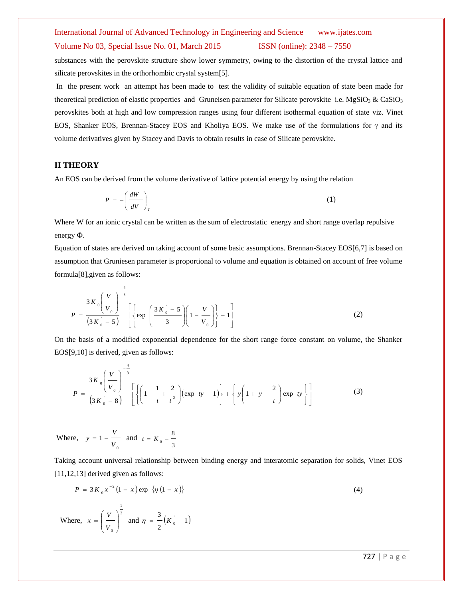## Volume No 03, Special Issue No. 01, March 2015 ISSN (online): 2348 – 7550

substances with the perovskite structure show lower symmetry, owing to the distortion of the crystal lattice and silicate perovskites in the [orthorhombic crystal system\[](http://en.wikipedia.org/wiki/Orthorhombic_crystal_system)5].

In the present work an attempt has been made to test the validity of suitable equation of state been made for theoretical prediction of elastic properties and Gruneisen parameter for Silicate perovskite i.e.  $MgSiO<sub>3</sub>$  & CaSiO<sub>3</sub> perovskites both at high and low compression ranges using four different isothermal equation of state viz. Vinet EOS, Shanker EOS, Brennan-Stacey EOS and Kholiya EOS. We make use of the formulations for  $\gamma$  and its volume derivatives given by Stacey and Davis to obtain results in case of Silicate perovskite.

## **II THEORY**

An EOS can be derived from the volume derivative of lattice potential energy by using the relation

$$
P = -\left(\frac{dW}{dV}\right)_T\tag{1}
$$

Where W for an ionic crystal can be written as the sum of electrostatic energy and short range overlap repulsive energy Ф.

Equation of states are derived on taking account of some basic assumptions. Brennan-Stacey EOS[6,7] is based on assumption that Gruniesen parameter is proportional to volume and equation is obtained on account of free volume formula[8],given as follows:

$$
P = \frac{3K_0 \left(\frac{V}{V_0}\right)^{-\frac{4}{3}}}{\left(3K_0 - 5\right)} \left[\left\{\exp\left(\frac{3K_0 - 5}{3}\right) \left(1 - \frac{V}{V_0}\right)\right\} - 1\right]
$$
(2)

On the basis of a modified exponential dependence for the short range force constant on volume, the Shanker EOS[9,10] is derived, given as follows:

$$
P = \frac{3K_0 \left(\frac{V}{V_0}\right)^{-\frac{4}{3}}}{\left(3K_0 - 8\right)} \left[ \left\{ \left(1 - \frac{1}{t} + \frac{2}{t^2}\right) \left(\exp \,ty - 1\right) \right\} + \left\{ y \left(1 + y - \frac{2}{t}\right) \exp \,ty \right\} \right] \tag{3}
$$

Where, 0 1 *V*  $y = 1 - \frac{V}{V}$  and 3 ' 8  $t = K_{0}$  –

J

2

l

*V*

Taking account universal relationship between binding energy and interatomic separation for solids, Vinet EOS [11,12,13] derived given as follows:

$$
P = 3K_0 x^{-2} (1 - x) \exp \{ \eta (1 - x) \}
$$
\n(4)

\nWhere,  $x = \left( \frac{V}{V_0} \right)^{\frac{1}{3}}$  and  $\eta = \frac{3}{2} (K_0 - 1)$ 

727 | P a g e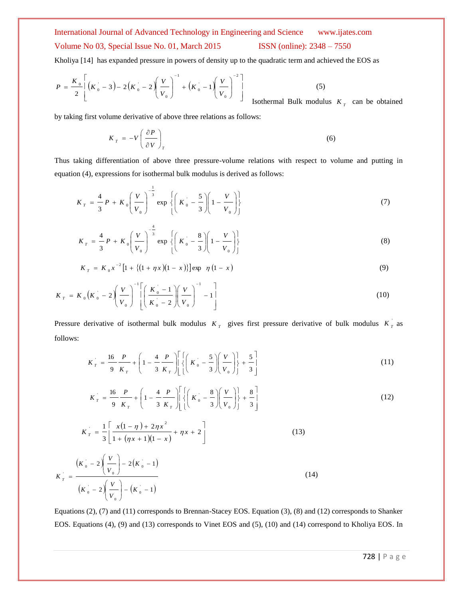# International Journal of Advanced Technology in Engineering and Science www.ijates.com Volume No 03, Special Issue No. 01, March 2015 ISSN (online): 2348 – 7550

Kholiya [14] has expanded pressure in powers of density up to the quadratic term and achieved the EOS as

$$
P = \frac{K_0}{2} \left[ \left( K_0 - 3 \right) - 2 \left( K_0 - 2 \right) \left( \frac{V}{V_0} \right)^{-1} + \left( K_0 - 1 \right) \left( \frac{V}{V_0} \right)^{-2} \right]
$$
 (5)  
Isothermal Bulk modulus  $K_T$  can be obtained

by taking first volume derivative of above three relations as follows:

$$
K_{T} = -V \left(\frac{\partial P}{\partial V}\right)_{T}
$$
 (6)

Thus taking differentiation of above three pressure-volume relations with respect to volume and putting in equation (4), expressions for isothermal bulk modulus is derived as follows:

$$
K_T = \frac{4}{3} P + K_0 \left(\frac{V}{V_0}\right)^{-\frac{1}{3}} \exp \left\{ \left(K_0 - \frac{5}{3}\right) \left(1 - \frac{V}{V_0}\right) \right\} \tag{7}
$$

$$
K_T = \frac{4}{3} P + K_0 \left(\frac{V}{V_0}\right)^{-\frac{4}{3}} \exp \left\{ \left(K_0 - \frac{8}{3}\right) \left(1 - \frac{V}{V_0}\right) \right\}
$$
(8)

$$
K_T = K_0 x^{-2} [1 + \{(1 + \eta x)(1 - x)\}] \exp \eta (1 - x)
$$
\n(9)

$$
K_{T} = K_{0} \left( K_{0} - 2 \left( \frac{V}{V_{0}} \right)^{-1} \left[ \left( \frac{K_{0} - 1}{K_{0} - 2} \right) \left( \frac{V}{V_{0}} \right)^{-1} - 1 \right] \tag{10}
$$

Pressure derivative of isothermal bulk modulus  $K<sub>T</sub>$  gives first pressure derivative of bulk modulus  $K<sub>T</sub>$  as follows:

$$
K_T = \frac{16}{9} \frac{P}{K_T} + \left(1 - \frac{4}{3} \frac{P}{K_T}\right) \left[ \left\{ \left(K_0 - \frac{5}{3}\right) \left(\frac{V}{V_0}\right) \right\} + \frac{5}{3} \right] \tag{11}
$$

$$
K_T = \frac{16}{9} \frac{P}{K_T} + \left(1 - \frac{4}{3} \frac{P}{K_T}\right) \left[ \left\{ \left(K_0 - \frac{8}{3}\right) \left(\frac{V}{V_0}\right) \right\} + \frac{8}{3} \right]
$$
(12)

$$
K_T = \frac{1}{3} \left[ \frac{x(1-\eta) + 2\eta x^2}{1 + (\eta x + 1)(1-x)} + \eta x + 2 \right]
$$
 (13)

$$
K_{T} = \frac{(K_{0} - 2)(\frac{V}{V_{0}}) - 2(K_{0} - 1)}{(K_{0} - 2)(\frac{V}{V_{0}}) - (K_{0} - 1)}
$$
\n(14)

Equations (2), (7) and (11) corresponds to Brennan-Stacey EOS. Equation (3), (8) and (12) corresponds to Shanker EOS. Equations (4), (9) and (13) corresponds to Vinet EOS and (5), (10) and (14) correspond to Kholiya EOS. In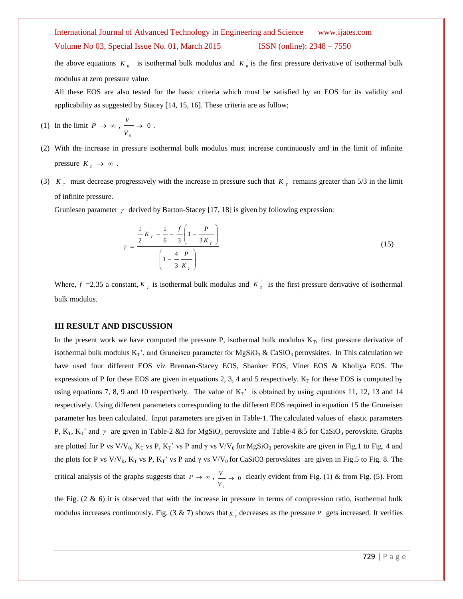Volume No 03, Special Issue No. 01, March 2015 ISSN (online): 2348 – 7550

the above equations  $K_0$  is isothermal bulk modulus and  $K_0$  is the first pressure derivative of isothermal bulk modulus at zero pressure value.

All these EOS are also tested for the basic criteria which must be satisfied by an EOS for its validity and applicability as suggested by Stacey [14, 15, 16]. These criteria are as follow;

- (1) In the limit  $P \to \infty$ ,  $\longrightarrow 0$  $\mathbf{0}$ *V*  $\frac{V}{\sim} \rightarrow 0$ .
- (2) With the increase in pressure isothermal bulk modulus must increase continuously and in the limit of infinite pressure  $K_T \to \infty$ .
- (3)  $K_T$  must decrease progressively with the increase in pressure such that  $K_T$  remains greater than 5/3 in the limit of infinite pressure.

Gruniesen parameter  $\gamma$  derived by Barton-Stacey [17, 18] is given by following expression:

$$
\gamma = \frac{\frac{1}{2}K_{T} - \frac{1}{6} - \frac{f}{3}\left(1 - \frac{P}{3K_{T}}\right)}{\left(1 - \frac{4}{3K_{T}}\right)}
$$
(15)

Where,  $f = 2.35$  a constant,  $K<sub>T</sub>$  is isothermal bulk modulus and  $K<sub>T</sub>$  is the first pressure derivative of isothermal bulk modulus.

# **III RESULT AND DISCUSSION**

In the present work we have computed the pressure P, isothermal bulk modulus  $K_T$ , first pressure derivative of isothermal bulk modulus  $K_T$ ', and Gruneisen parameter for MgSiO<sub>3</sub> & CaSiO<sub>3</sub> perovskites. In This calculation we have used four different EOS viz Brennan-Stacey EOS, Shanker EOS, Vinet EOS & Kholiya EOS. The expressions of P for these EOS are given in equations 2, 3, 4 and 5 respectively.  $K<sub>T</sub>$  for these EOS is computed by using equations 7, 8, 9 and 10 respectively. The value of  $K_T'$  is obtained by using equations 11, 12, 13 and 14 respectively. Using different parameters corresponding to the different EOS required in equation 15 the Gruneisen parameter has been calculated. Input parameters are given in Table-1. The calculated values of elastic parameters P,  $K_T$ ,  $K_T$ ' and  $\gamma$  are given in Table-2 &3 for MgSiO<sub>3</sub> perovskite and Table-4 &5 for CaSiO<sub>3</sub> perovskite. Graphs are plotted for P vs V/V<sub>0</sub>, K<sub>T</sub> vs P, K<sub>T</sub>' vs P and  $\gamma$  vs V/V<sub>0</sub> for MgSiO<sub>3</sub> perovskite are given in Fig.1 to Fig. 4 and the plots for P vs V/V<sub>0</sub>, K<sub>T</sub> vs P, K<sub>T</sub>' vs P and  $\gamma$  vs V/V<sub>0</sub> for CaSiO3 perovskites are given in Fig.5 to Fig. 8. The critical analysis of the graphs suggests that  $P \to \infty$ ,  $\stackrel{V}{\longrightarrow} 0$ 0 *V*  $\frac{V}{V}$   $\rightarrow$  0 clearly evident from Fig. (1) & from Fig. (5). From

the Fig.  $(2 \& 6)$  it is observed that with the increase in pressure in terms of compression ratio, isothermal bulk modulus increases continuously. Fig.  $(3 \& 7)$  shows that  $K<sub>T</sub>$  decreases as the pressure P gets increased. It verifies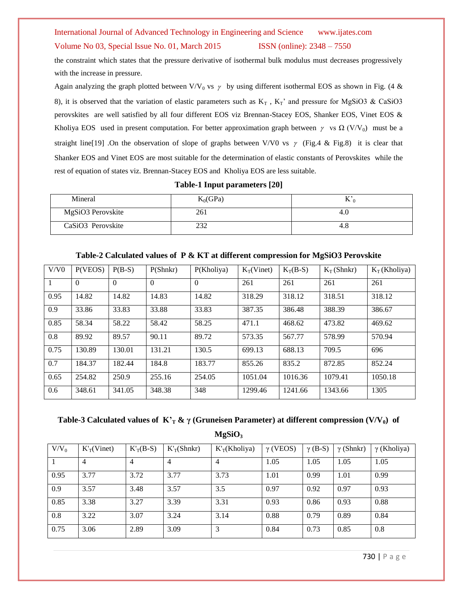### Volume No 03, Special Issue No. 01, March 2015 ISSN (online): 2348 – 7550

the constraint which states that the pressure derivative of isothermal bulk modulus must decreases progressively with the increase in pressure.

Again analyzing the graph plotted between V/V<sub>0</sub> vs  $\gamma$  by using different isothermal EOS as shown in Fig. (4 & 8), it is observed that the variation of elastic parameters such as  $K_T$ ,  $K_T$ ' and pressure for MgSiO3 & CaSiO3 perovskites are well satisfied by all four different EOS viz Brennan-Stacey EOS, Shanker EOS, Vinet EOS & Kholiya EOS used in present computation. For better approximation graph between  $\gamma$  vs  $\Omega$  (V/V<sub>0</sub>) must be a straight line[19] .On the observation of slope of graphs between V/V0 vs  $\gamma$  (Fig.4 & Fig.8) it is clear that Shanker EOS and Vinet EOS are most suitable for the determination of elastic constants of Perovskites while the rest of equation of states viz. Brennan-Stacey EOS and Kholiya EOS are less suitable.

**Table-1 Input parameters [20]**

| Mineral                       | $K_0$ (GPa) | 17  |
|-------------------------------|-------------|-----|
| MgSiO3 Perovskite             | 261         | 4.U |
| CaSiO <sub>3</sub> Perovskite | ستدسه       | 4.8 |

| V/V0 | P(VEOS)  | $P(B-S)$ | P(Shnkr) | P(Kholiya) | $K_T(Vinet)$ | $K_T(B-S)$ | $K_T(Shnkr)$ | $K_T$ (Kholiya) |
|------|----------|----------|----------|------------|--------------|------------|--------------|-----------------|
|      | $\theta$ | $\theta$ | $\Omega$ | $\Omega$   | 261          | 261        | 261          | 261             |
| 0.95 | 14.82    | 14.82    | 14.83    | 14.82      | 318.29       | 318.12     | 318.51       | 318.12          |
| 0.9  | 33.86    | 33.83    | 33.88    | 33.83      | 387.35       | 386.48     | 388.39       | 386.67          |
| 0.85 | 58.34    | 58.22    | 58.42    | 58.25      | 471.1        | 468.62     | 473.82       | 469.62          |
| 0.8  | 89.92    | 89.57    | 90.11    | 89.72      | 573.35       | 567.77     | 578.99       | 570.94          |
| 0.75 | 130.89   | 130.01   | 131.21   | 130.5      | 699.13       | 688.13     | 709.5        | 696             |
| 0.7  | 184.37   | 182.44   | 184.8    | 183.77     | 855.26       | 835.2      | 872.85       | 852.24          |
| 0.65 | 254.82   | 250.9    | 255.16   | 254.05     | 1051.04      | 1016.36    | 1079.41      | 1050.18         |
| 0.6  | 348.61   | 341.05   | 348.38   | 348        | 1299.46      | 1241.66    | 1343.66      | 1305            |

**Table-2 Calculated values of P & KT at different compression for MgSiO3 Perovskite**

**Table-3 Calculated values of K'<sup>T</sup> & γ (Gruneisen Parameter) at different compression (V/V0) of MgSiO<sup>3</sup>**

| $V/V_0$ | $K_T$ (Vinet)  | $K_T(B-S)$ | $K_T(Shnkr)$ | $K_T(Kholiya)$ | $\gamma$ (VEOS) | $\gamma$ (B-S) | $\gamma$ (Shnkr) | $\gamma$ (Kholiya) |
|---------|----------------|------------|--------------|----------------|-----------------|----------------|------------------|--------------------|
|         | $\overline{4}$ | 4          | 4            | $\overline{4}$ | 1.05            | 1.05           | 1.05             | 1.05               |
| 0.95    | 3.77           | 3.72       | 3.77         | 3.73           | 1.01            | 0.99           | 1.01             | 0.99               |
| 0.9     | 3.57           | 3.48       | 3.57         | 3.5            | 0.97            | 0.92           | 0.97             | 0.93               |
| 0.85    | 3.38           | 3.27       | 3.39         | 3.31           | 0.93            | 0.86           | 0.93             | 0.88               |
| 0.8     | 3.22           | 3.07       | 3.24         | 3.14           | 0.88            | 0.79           | 0.89             | 0.84               |
| 0.75    | 3.06           | 2.89       | 3.09         | 3              | 0.84            | 0.73           | 0.85             | 0.8                |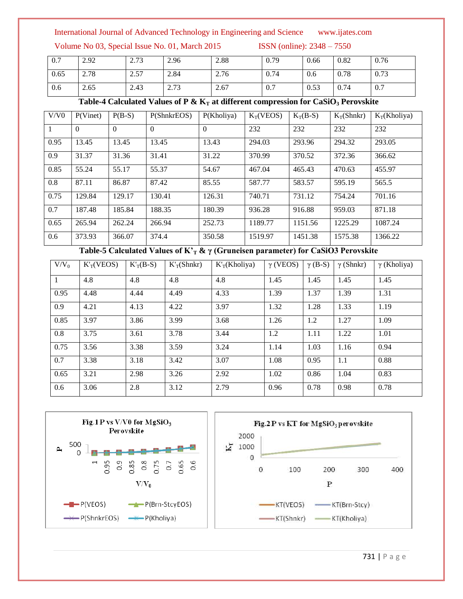Volume No 03, Special Issue No. 01, March 2015 ISSN (online): 2348 – 7550

| 0.7  | 2.92 | 2.73 | 2.96 | 2.88 | 0.79 | 0.66 | 0.82 | 0.76 |
|------|------|------|------|------|------|------|------|------|
| 0.65 | 2.78 | 2.57 | 2.84 | 2.76 | 0.74 | 0.6  | 0.78 | 0.73 |
| 0.6  | 2.65 | 2.43 | 2.73 | 2.67 | 0.7  | 0.53 | 0.74 | 0.7  |

Table-4 Calculated Values of P &  $K_T$  at different compression for CaSiO<sub>3</sub> Perovskite

| V/V0 | P(Vinet) | $P(B-S)$ | P(ShnkrEOS) | P(Kholiya) | $K_T(VEOS)$ | $K_T(B-S)$ | $K_T(Shnkr)$ | $K_T(Kholiya)$ |
|------|----------|----------|-------------|------------|-------------|------------|--------------|----------------|
| 1    | $\Omega$ | $\theta$ | $\theta$    | $\Omega$   | 232         | 232        | 232          | 232            |
| 0.95 | 13.45    | 13.45    | 13.45       | 13.43      | 294.03      | 293.96     | 294.32       | 293.05         |
| 0.9  | 31.37    | 31.36    | 31.41       | 31.22      | 370.99      | 370.52     | 372.36       | 366.62         |
| 0.85 | 55.24    | 55.17    | 55.37       | 54.67      | 467.04      | 465.43     | 470.63       | 455.97         |
| 0.8  | 87.11    | 86.87    | 87.42       | 85.55      | 587.77      | 583.57     | 595.19       | 565.5          |
| 0.75 | 129.84   | 129.17   | 130.41      | 126.31     | 740.71      | 731.12     | 754.24       | 701.16         |
| 0.7  | 187.48   | 185.84   | 188.35      | 180.39     | 936.28      | 916.88     | 959.03       | 871.18         |
| 0.65 | 265.94   | 262.24   | 266.94      | 252.73     | 1189.77     | 1151.56    | 1225.29      | 1087.24        |
| 0.6  | 373.93   | 366.07   | 374.4       | 350.58     | 1519.97     | 1451.38    | 1575.38      | 1366.22        |

**Table-5 Calculated Values of K'<sup>T</sup> & γ (Gruneisen parameter) for CaSiO3 Perovskite**

| $V/V_0$ | $K_T(VEOS)$ | $K_T(B-S)$ | $K_T(Shnkr)$ | K <sub>T</sub> (Kholiya) | $\gamma$ (VEOS) | $\gamma$ (B-S) | $\gamma$ (Shnkr) | $\gamma$ (Kholiya) |
|---------|-------------|------------|--------------|--------------------------|-----------------|----------------|------------------|--------------------|
|         | 4.8         | 4.8        | 4.8          | 4.8                      | 1.45            | 1.45           | 1.45             | 1.45               |
| 0.95    | 4.48        | 4.44       | 4.49         | 4.33                     | 1.39            | 1.37           | 1.39             | 1.31               |
| 0.9     | 4.21        | 4.13       | 4.22         | 3.97                     | 1.32            | 1.28           | 1.33             | 1.19               |
| 0.85    | 3.97        | 3.86       | 3.99         | 3.68                     | 1.26            | 1.2            | 1.27             | 1.09               |
| 0.8     | 3.75        | 3.61       | 3.78         | 3.44                     | 1.2             | 1.11           | 1.22             | 1.01               |
| 0.75    | 3.56        | 3.38       | 3.59         | 3.24                     | 1.14            | 1.03           | 1.16             | 0.94               |
| 0.7     | 3.38        | 3.18       | 3.42         | 3.07                     | 1.08            | 0.95           | 1.1              | 0.88               |
| 0.65    | 3.21        | 2.98       | 3.26         | 2.92                     | 1.02            | 0.86           | 1.04             | 0.83               |
| 0.6     | 3.06        | 2.8        | 3.12         | 2.79                     | 0.96            | 0.78           | 0.98             | 0.78               |

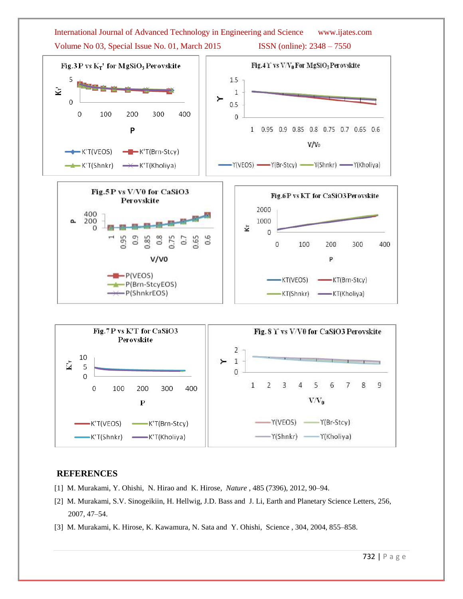

# **REFERENCES**

- [1] M. Murakami, Y. Ohishi, N. Hirao and K. Hirose, *Nature* , 485 (7396), 2012, 90–94.
- [2] M. Murakami, S.V. Sinogeikiin, H. Hellwig, J.D. Bass and J. Li, Earth and Planetary Science Letters, 256, 2007, 47–54.
- [3] M. Murakami, K. Hirose, K. Kawamura, N. Sata and Y. Ohishi, Science , 304, 2004, 855–858.